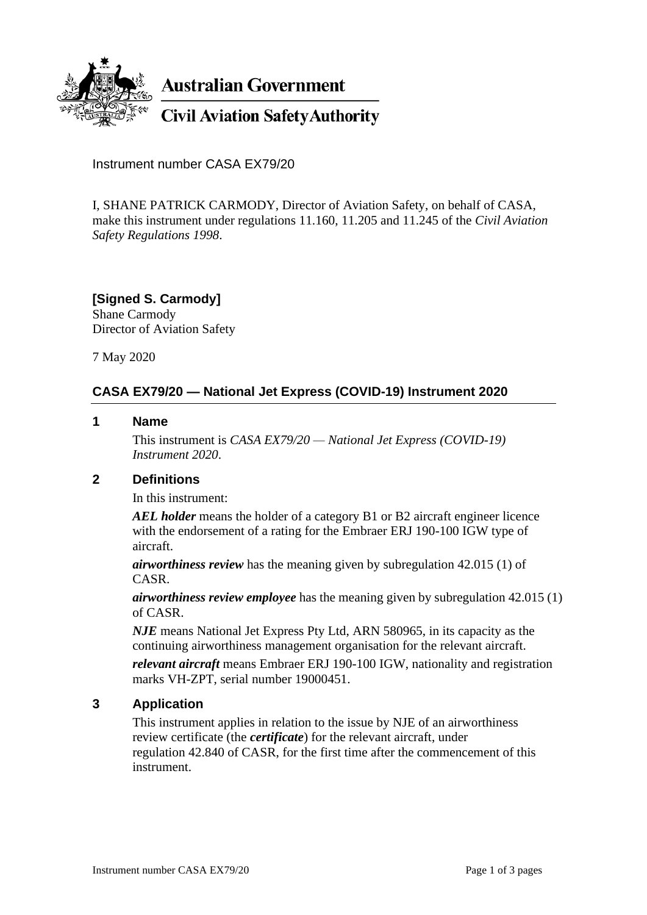

**Australian Government** 

**Civil Aviation Safety Authority** 

Instrument number CASA EX79/20

I, SHANE PATRICK CARMODY, Director of Aviation Safety, on behalf of CASA, make this instrument under regulations 11.160, 11.205 and 11.245 of the *Civil Aviation Safety Regulations 1998*.

**[Signed S. Carmody]** Shane Carmody Director of Aviation Safety

7 May 2020

# **CASA EX79/20 — National Jet Express (COVID-19) Instrument 2020**

#### **1 Name**

This instrument is *CASA EX79/20 — National Jet Express (COVID-19) Instrument 2020*.

### **2 Definitions**

In this instrument:

*AEL holder* means the holder of a category B1 or B2 aircraft engineer licence with the endorsement of a rating for the Embraer ERJ 190-100 IGW type of aircraft.

*airworthiness review* has the meaning given by subregulation 42.015 (1) of CASR.

*airworthiness review employee* has the meaning given by subregulation 42.015 (1) of CASR.

*NJE* means National Jet Express Pty Ltd, ARN 580965, in its capacity as the continuing airworthiness management organisation for the relevant aircraft.

*relevant aircraft* means Embraer ERJ 190-100 IGW, nationality and registration marks VH-ZPT, serial number 19000451.

### **3 Application**

This instrument applies in relation to the issue by NJE of an airworthiness review certificate (the *certificate*) for the relevant aircraft, under regulation 42.840 of CASR, for the first time after the commencement of this instrument.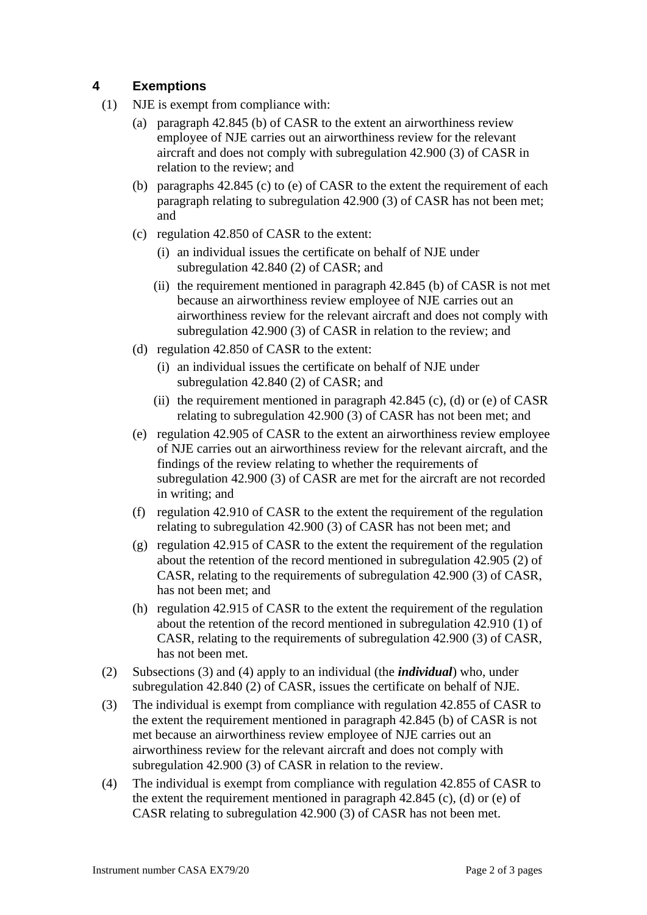## **4 Exemptions**

- (1) NJE is exempt from compliance with:
	- (a) paragraph 42.845 (b) of CASR to the extent an airworthiness review employee of NJE carries out an airworthiness review for the relevant aircraft and does not comply with subregulation 42.900 (3) of CASR in relation to the review; and
	- (b) paragraphs 42.845 (c) to (e) of CASR to the extent the requirement of each paragraph relating to subregulation 42.900 (3) of CASR has not been met; and
	- (c) regulation 42.850 of CASR to the extent:
		- (i) an individual issues the certificate on behalf of NJE under subregulation 42.840 (2) of CASR; and
		- (ii) the requirement mentioned in paragraph 42.845 (b) of CASR is not met because an airworthiness review employee of NJE carries out an airworthiness review for the relevant aircraft and does not comply with subregulation 42.900 (3) of CASR in relation to the review; and
	- (d) regulation 42.850 of CASR to the extent:
		- (i) an individual issues the certificate on behalf of NJE under subregulation 42.840 (2) of CASR; and
		- (ii) the requirement mentioned in paragraph  $42.845$  (c), (d) or (e) of CASR relating to subregulation 42.900 (3) of CASR has not been met; and
	- (e) regulation 42.905 of CASR to the extent an airworthiness review employee of NJE carries out an airworthiness review for the relevant aircraft, and the findings of the review relating to whether the requirements of subregulation 42.900 (3) of CASR are met for the aircraft are not recorded in writing; and
	- (f) regulation 42.910 of CASR to the extent the requirement of the regulation relating to subregulation 42.900 (3) of CASR has not been met; and
	- (g) regulation 42.915 of CASR to the extent the requirement of the regulation about the retention of the record mentioned in subregulation 42.905 (2) of CASR, relating to the requirements of subregulation 42.900 (3) of CASR, has not been met; and
	- (h) regulation 42.915 of CASR to the extent the requirement of the regulation about the retention of the record mentioned in subregulation 42.910 (1) of CASR, relating to the requirements of subregulation 42.900 (3) of CASR, has not been met.
- (2) Subsections (3) and (4) apply to an individual (the *individual*) who, under subregulation 42.840 (2) of CASR, issues the certificate on behalf of NJE.
- (3) The individual is exempt from compliance with regulation 42.855 of CASR to the extent the requirement mentioned in paragraph 42.845 (b) of CASR is not met because an airworthiness review employee of NJE carries out an airworthiness review for the relevant aircraft and does not comply with subregulation 42.900 (3) of CASR in relation to the review.
- (4) The individual is exempt from compliance with regulation 42.855 of CASR to the extent the requirement mentioned in paragraph 42.845 (c), (d) or (e) of CASR relating to subregulation 42.900 (3) of CASR has not been met.